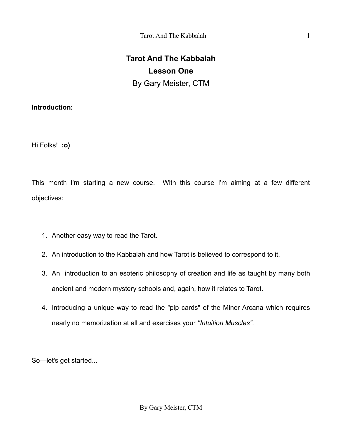# **Introduction:**

Hi Folks! **:o)**

This month I'm starting a new course. With this course I'm aiming at a few different objectives:

- 1. Another easy way to read the Tarot.
- 2. An introduction to the Kabbalah and how Tarot is believed to correspond to it.
- 3. An introduction to an esoteric philosophy of creation and life as taught by many both ancient and modern mystery schools and, again, how it relates to Tarot.
- 4. Introducing a unique way to read the "pip cards" of the Minor Arcana which requires nearly no memorization at all and exercises your *"Intuition Muscles".*

So—let's get started...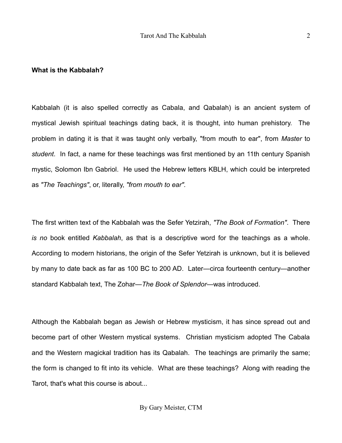#### **What is the Kabbalah?**

Kabbalah (it is also spelled correctly as Cabala, and Qabalah) is an ancient system of mystical Jewish spiritual teachings dating back, it is thought, into human prehistory. The problem in dating it is that it was taught only verbally, "from mouth to ear", from *Master* to *student*. In fact, a name for these teachings was first mentioned by an 11th century Spanish mystic, Solomon Ibn Gabriol. He used the Hebrew letters KBLH, which could be interpreted as *"The Teachings"*, or, literally, *"from mouth to ear".*

The first written text of the Kabbalah was the Sefer Yetzirah, *"The Book of Formation"*. There *is no* book entitled *Kabbalah*, as that is a descriptive word for the teachings as a whole. According to modern historians, the origin of the Sefer Yetzirah is unknown, but it is believed by many to date back as far as 100 BC to 200 AD. Later—circa fourteenth century—another standard Kabbalah text, The Zohar—*The Book of Splendor*—was introduced.

Although the Kabbalah began as Jewish or Hebrew mysticism, it has since spread out and become part of other Western mystical systems. Christian mysticism adopted The Cabala and the Western magickal tradition has its Qabalah. The teachings are primarily the same; the form is changed to fit into its vehicle. What are these teachings? Along with reading the Tarot, that's what this course is about...

By Gary Meister, CTM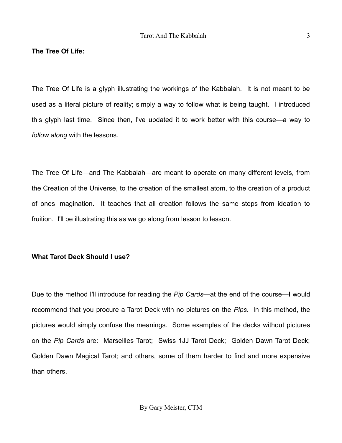### **The Tree Of Life:**

The Tree Of Life is a glyph illustrating the workings of the Kabbalah. It is not meant to be used as a literal picture of reality; simply a way to follow what is being taught. I introduced this glyph last time. Since then, I've updated it to work better with this course—a way to *follow along* with the lessons.

The Tree Of Life—and The Kabbalah—are meant to operate on many different levels, from the Creation of the Universe, to the creation of the smallest atom, to the creation of a product of ones imagination. It teaches that all creation follows the same steps from ideation to fruition. I'll be illustrating this as we go along from lesson to lesson.

### **What Tarot Deck Should I use?**

Due to the method I'll introduce for reading the *Pip Cards—*at the end of the course—I would recommend that you procure a Tarot Deck with no pictures on the *Pips*. In this method, the pictures would simply confuse the meanings. Some examples of the decks without pictures on the *Pip Cards* are: Marseilles Tarot; [Swiss 1JJ Tarot Deck; Golden Dawn Tarot Deck;](http://www.amazon.com/Swiss-1JJ-Tarot-Deck-Kaplan/dp/0913866512/ref=sr_1_2?ie=UTF8&qid=1249662054&sr=8-2) [Golden Dawn Magical Tarot; and others, some of them harder to find and more expensive](http://www.amazon.com/Swiss-1JJ-Tarot-Deck-Kaplan/dp/0913866512/ref=sr_1_2?ie=UTF8&qid=1249662054&sr=8-2) [than others.](http://www.amazon.com/Swiss-1JJ-Tarot-Deck-Kaplan/dp/0913866512/ref=sr_1_2?ie=UTF8&qid=1249662054&sr=8-2)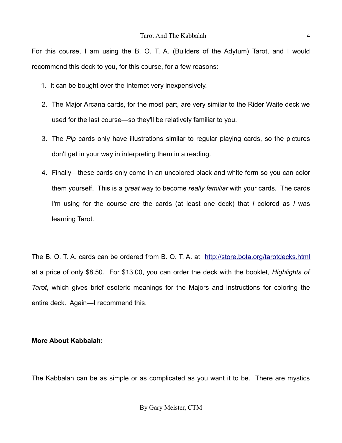#### Tarot And The Kabbalah 4

[For this course, I am using the B. O. T. A. \(Builders of the Adytum\) Tarot, and I would](http://www.amazon.com/Swiss-1JJ-Tarot-Deck-Kaplan/dp/0913866512/ref=sr_1_2?ie=UTF8&qid=1249662054&sr=8-2) [recommend this deck to you, for this course, for a few reasons:](http://www.amazon.com/Swiss-1JJ-Tarot-Deck-Kaplan/dp/0913866512/ref=sr_1_2?ie=UTF8&qid=1249662054&sr=8-2)

- [1. It can be bought over the Internet very inexpensively.](http://www.amazon.com/Swiss-1JJ-Tarot-Deck-Kaplan/dp/0913866512/ref=sr_1_2?ie=UTF8&qid=1249662054&sr=8-2)
- 2. The Major Arcana cards, for the most part, are very similar to the Rider Waite deck we used for the last course—so they'll be relatively familiar to you.
- 3. The *Pip* cards only have illustrations similar to regular playing cards, so the pictures don't get in your way in interpreting them in a reading.
- 4. Finally—these cards only come in an uncolored black and white form so you can color them yourself. This is a *great* way to become *really familiar* with your cards. The cards I'm using for the course are the cards (at least one deck) that *I* colored as *I* was learning Tarot.

The B. O. T. A. cards can be ordered from B. O. T. A. at <http://store.bota.org/tarotdecks.html> at a price of only \$8.50. For \$13.00, you can order the deck with the booklet, *Highlights of Tarot*, which gives brief esoteric meanings for the Majors and instructions for coloring the entire deck. Again—I recommend this.

## **More About Kabbalah:**

The Kabbalah can be as simple or as complicated as you want it to be. There are mystics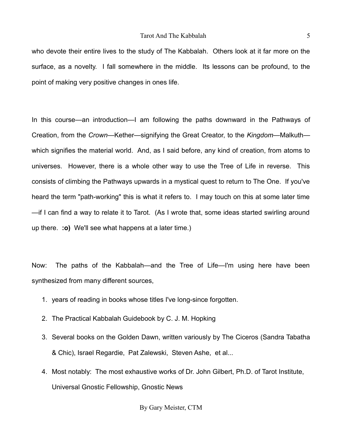who devote their entire lives to the study of The Kabbalah. Others look at it far more on the surface, as a novelty. I fall somewhere in the middle. Its lessons can be profound, to the point of making very positive changes in ones life.

In this course—an introduction—I am following the paths downward in the Pathways of Creation, from the *Crown*—Kether—signifying the Great Creator, to the *Kingdom*—Malkuth which signifies the material world. And, as I said before, any kind of creation, from atoms to universes. However, there is a whole other way to use the Tree of Life in reverse. This consists of climbing the Pathways upwards in a mystical quest to return to The One. If you've heard the term "path-working" this is what it refers to. I may touch on this at some later time —if I can find a way to relate it to Tarot. (As I wrote that, some ideas started swirling around up there. **:o)** We'll see what happens at a later time.)

Now: The paths of the Kabbalah—and the Tree of Life—I'm using here have been synthesized from many different sources,

- 1. years of reading in books whose titles I've long-since forgotten.
- 2. The Practical Kabbalah Guidebook by C. J. M. Hopking
- 3. Several books on the Golden Dawn, written variously by The Ciceros (Sandra Tabatha & Chic), Israel Regardie, Pat Zalewski, Steven Ashe, et al...
- 4. Most notably: The most exhaustive works of Dr. John Gilbert, Ph.D. of Tarot Institute, Universal Gnostic Fellowship, Gnostic News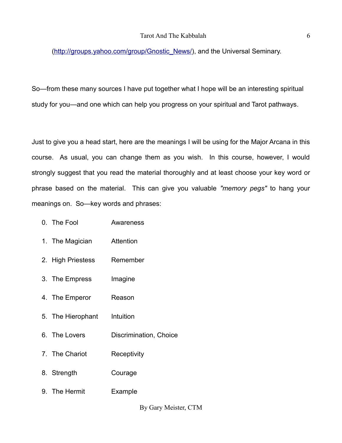[\(http://groups.yahoo.com/group/Gnostic\\_News/\)](http://groups.yahoo.com/group/Gnostic_News/), and the Universal Seminary.

So—from these many sources I have put together what I hope will be an interesting spiritual study for you—and one which can help you progress on your spiritual and Tarot pathways.

Just to give you a head start, here are the meanings I will be using for the Major Arcana in this course. As usual, you can change them as you wish. In this course, however, I would strongly suggest that you read the material thoroughly and at least choose your key word or phrase based on the material. This can give you valuable *"memory pegs"* to hang your meanings on. So—key words and phrases:

- 0. The Fool Awareness
- 1. The Magician Attention
- 2. High Priestess Remember
- 3. The Empress Imagine
- 4. The Emperor Reason
- 5. The Hierophant Intuition
- 6. The Lovers Discrimination, Choice
- 7. The Chariot Receptivity
- 8. Strength Courage
- 9. The Hermit Example